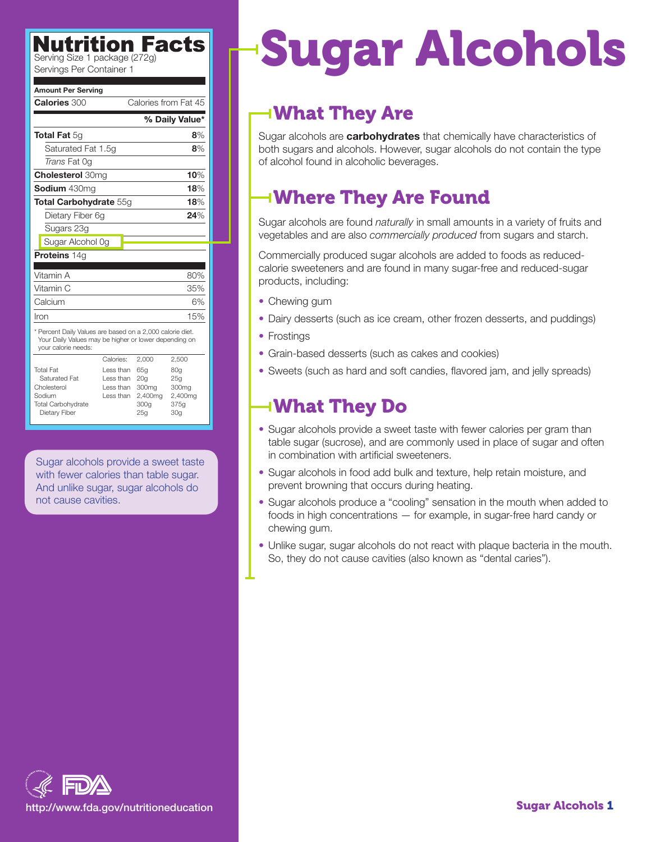| <b>Amount Per Serving</b>                                                                                                                 |                                                     |                                                                       |                                                           |
|-------------------------------------------------------------------------------------------------------------------------------------------|-----------------------------------------------------|-----------------------------------------------------------------------|-----------------------------------------------------------|
| Calories 300                                                                                                                              |                                                     | Calories from Fat 45                                                  |                                                           |
| % Daily Value*                                                                                                                            |                                                     |                                                                       |                                                           |
| <b>Total Fat</b> 5g                                                                                                                       |                                                     |                                                                       | 8%                                                        |
| Saturated Fat 1.5q                                                                                                                        |                                                     |                                                                       | 8%                                                        |
| <i>Trans</i> Fat 0q                                                                                                                       |                                                     |                                                                       |                                                           |
| <b>Cholesterol 30mg</b>                                                                                                                   |                                                     |                                                                       | 10%                                                       |
| <b>Sodium</b> 430mg                                                                                                                       |                                                     |                                                                       | 18%                                                       |
| <b>Total Carbohydrate 55g</b>                                                                                                             |                                                     |                                                                       | 18%                                                       |
| Dietary Fiber 6q                                                                                                                          |                                                     |                                                                       | 24%                                                       |
| Sugars 23g                                                                                                                                |                                                     |                                                                       |                                                           |
| Sugar Alcohol Og                                                                                                                          |                                                     |                                                                       |                                                           |
| <b>Proteins 14g</b>                                                                                                                       |                                                     |                                                                       |                                                           |
| Vitamin A                                                                                                                                 |                                                     |                                                                       |                                                           |
|                                                                                                                                           |                                                     |                                                                       | 80%                                                       |
| Vitamin C                                                                                                                                 |                                                     |                                                                       | 35%                                                       |
| Calcium                                                                                                                                   |                                                     |                                                                       | 6%                                                        |
| Iron                                                                                                                                      |                                                     |                                                                       | 15%                                                       |
| * Percent Daily Values are based on a 2,000 calorie diet.<br>Your Daily Values may be higher or lower depending on<br>your calorie needs: |                                                     |                                                                       |                                                           |
|                                                                                                                                           | Calories:                                           | 2,000                                                                 | 2,500                                                     |
| <b>Total Fat</b><br>Saturated Fat<br>Cholesterol<br>Sodium<br>Total Carbohydrate<br>Dietary Fiber                                         | Less than<br>I ess than<br>I ess than<br>I ess than | 65 <sub>a</sub><br>20 <sub>q</sub><br>300mg<br>2,400mg<br>300q<br>25g | 80g<br>25q<br>300mg<br>2,400mg<br>375g<br>30 <sub>g</sub> |

Sugar alcohols provide a sweet taste with fewer calories than table sugar. And unlike sugar, sugar alcohols do not cause cavities.

# **Nutrition Facts For Sugar Alcohols**

### What They Are

Sugar alcohols are **carbohydrates** that chemically have characteristics of both sugars and alcohols. However, sugar alcohols do not contain the type of alcohol found in alcoholic beverages.

## Where They Are Found

Sugar alcohols are found *naturally* in small amounts in a variety of fruits and vegetables and are also *commercially produced* from sugars and starch.

Commercially produced sugar alcohols are added to foods as reducedcalorie sweeteners and are found in many sugar-free and reduced-sugar products, including:

- Chewing gum
- Dairy desserts (such as ice cream, other frozen desserts, and puddings)
- Frostings
- Grain-based desserts (such as cakes and cookies)
- Sweets (such as hard and soft candies, flavored jam, and jelly spreads)

### What They Do

- Sugar alcohols provide a sweet taste with fewer calories per gram than table sugar (sucrose), and are commonly used in place of sugar and often in combination with artificial sweeteners.
- Sugar alcohols in food add bulk and texture, help retain moisture, and prevent browning that occurs during heating.
- Sugar alcohols produce a "cooling" sensation in the mouth when added to foods in high concentrations — for example, in sugar-free hard candy or chewing gum.
- Unlike sugar, sugar alcohols do not react with plaque bacteria in the mouth. So, they do not cause cavities (also known as "dental caries").